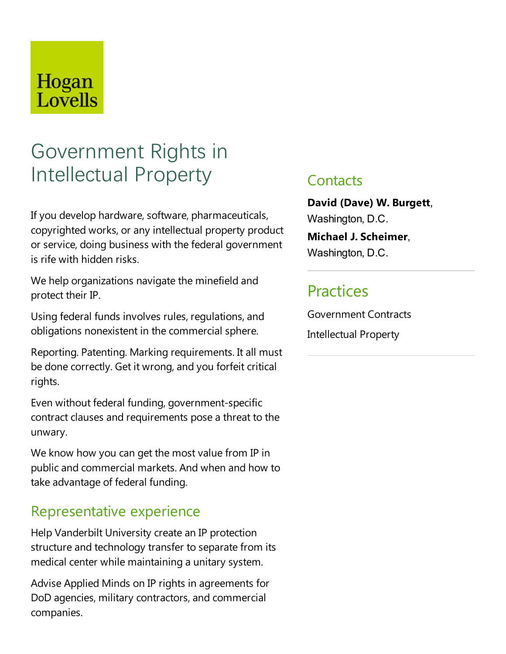## Hogan Lovells

# Government Rights in Intellectual Property

If you develop hardware, software, pharmaceuticals, copyrighted works, or any intellectual property product or service, doing business with the federal government is rife with hidden risks.

We help organizations navigate the minefield and protect their IP.

Using federal funds involves rules, regulations, and obligations nonexistent in the commercial sphere.

Reporting. Patenting. Marking requirements. It all must be done correctly. Get it wrong, and you forfeit critical rights.

Even without federal funding, government-specific contract clauses and requirements pose a threat to the unwary.

We know how you can get the most value from IP in publicand commercial markets. And when and how to take advantage of federal funding.

#### Representative experience

Help Vanderbilt University create an IP protection structure and technology transfer to separate from its medical center while maintaining a unitary system.

Advise Applied Minds on IP rights in agreements for DoD agencies, military contractors, and commercial companies.

#### **Contacts**

**David (Dave) W. Burgett**, Washington, D.C.

**Michael J. Scheimer**, Washington, D.C.

### **Practices**

Government Contracts Intellectual Property